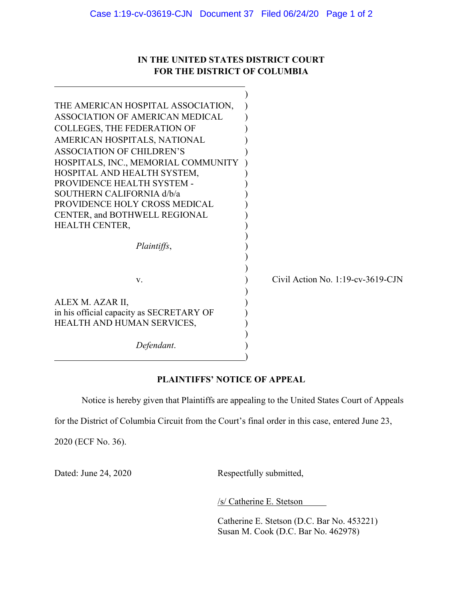## IN THE UNITED STATES DISTRICT COURT FOR THE DISTRICT OF COLUMBIA

| THE AMERICAN HOSPITAL ASSOCIATION,       |                                      |
|------------------------------------------|--------------------------------------|
| ASSOCIATION OF AMERICAN MEDICAL          |                                      |
| <b>COLLEGES, THE FEDERATION OF</b>       |                                      |
| AMERICAN HOSPITALS, NATIONAL             |                                      |
| <b>ASSOCIATION OF CHILDREN'S</b>         |                                      |
| HOSPITALS, INC., MEMORIAL COMMUNITY      |                                      |
| HOSPITAL AND HEALTH SYSTEM,              |                                      |
| PROVIDENCE HEALTH SYSTEM -               |                                      |
| SOUTHERN CALIFORNIA d/b/a                |                                      |
| PROVIDENCE HOLY CROSS MEDICAL            |                                      |
| CENTER, and BOTHWELL REGIONAL            |                                      |
| <b>HEALTH CENTER,</b>                    |                                      |
|                                          |                                      |
| Plaintiffs,                              |                                      |
|                                          |                                      |
|                                          |                                      |
| V.                                       | Civil Action No. $1:19$ -cv-3619-CJN |
|                                          |                                      |
| ALEX M. AZAR II,                         |                                      |
| in his official capacity as SECRETARY OF |                                      |
| HEALTH AND HUMAN SERVICES,               |                                      |
|                                          |                                      |
| Defendant.                               |                                      |
|                                          |                                      |

## PLAINTIFFS' NOTICE OF APPEAL

Notice is hereby given that Plaintiffs are appealing to the United States Court of Appeals

for the District of Columbia Circuit from the Court's final order in this case, entered June 23,

2020 (ECF No. 36).

) and the contract of  $\mathcal{L}$  and  $\mathcal{L}$  (i.e.,  $\mathcal{L}$  ) and  $\mathcal{L}$ 

 $\overline{a}$ 

Dated: June 24, 2020 Respectfully submitted,

/s/ Catherine E. Stetson

Catherine E. Stetson (D.C. Bar No. 453221) Susan M. Cook (D.C. Bar No. 462978)